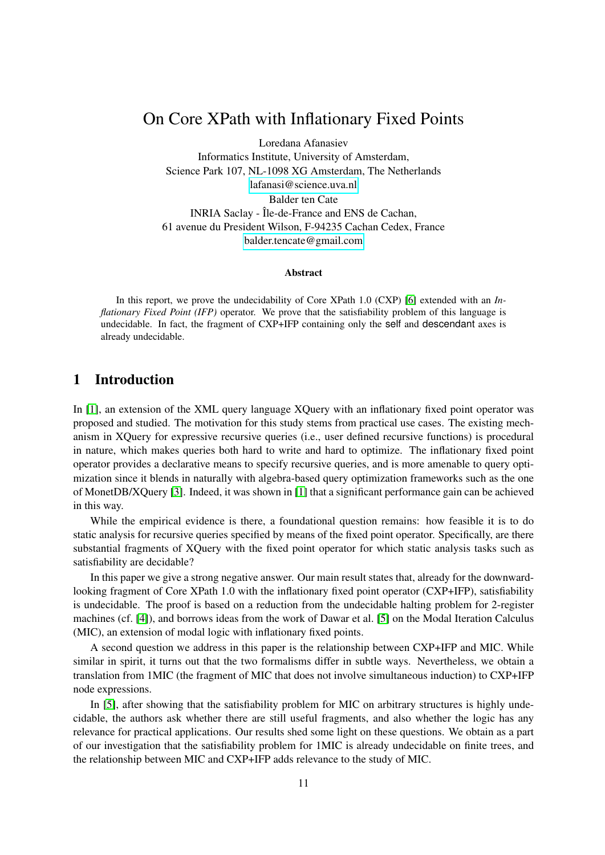# On Core XPath with Inflationary Fixed Points

Loredana Afanasiev Informatics Institute, University of Amsterdam, Science Park 107, NL-1098 XG Amsterdam, The Netherlands [lafanasi@science.uva.nl](mailto:lafanasi@science.uva.nl) Balder ten Cate INRIA Saclay - Île-de-France and ENS de Cachan, 61 avenue du President Wilson, F-94235 Cachan Cedex, France [balder.tencate@gmail.com](mailto:balder.tencate@gmail.com)

#### Abstract

In this report, we prove the undecidability of Core XPath 1.0 (CXP) [\[6\]](#page-6-0) extended with an *Inflationary Fixed Point (IFP)* operator. We prove that the satisfiability problem of this language is undecidable. In fact, the fragment of CXP+IFP containing only the self and descendant axes is already undecidable.

#### 1 Introduction

In [\[1\]](#page-6-1), an extension of the XML query language XQuery with an inflationary fixed point operator was proposed and studied. The motivation for this study stems from practical use cases. The existing mechanism in XQuery for expressive recursive queries (i.e., user defined recursive functions) is procedural in nature, which makes queries both hard to write and hard to optimize. The inflationary fixed point operator provides a declarative means to specify recursive queries, and is more amenable to query optimization since it blends in naturally with algebra-based query optimization frameworks such as the one of MonetDB/XQuery [\[3\]](#page-6-2). Indeed, it was shown in [\[1\]](#page-6-1) that a significant performance gain can be achieved in this way.

While the empirical evidence is there, a foundational question remains: how feasible it is to do static analysis for recursive queries specified by means of the fixed point operator. Specifically, are there substantial fragments of XQuery with the fixed point operator for which static analysis tasks such as satisfiability are decidable?

In this paper we give a strong negative answer. Our main result states that, already for the downwardlooking fragment of Core XPath 1.0 with the inflationary fixed point operator (CXP+IFP), satisfiability is undecidable. The proof is based on a reduction from the undecidable halting problem for 2-register machines (cf. [\[4\]](#page-6-3)), and borrows ideas from the work of Dawar et al. [\[5\]](#page-6-4) on the Modal Iteration Calculus (MIC), an extension of modal logic with inflationary fixed points.

A second question we address in this paper is the relationship between CXP+IFP and MIC. While similar in spirit, it turns out that the two formalisms differ in subtle ways. Nevertheless, we obtain a translation from 1MIC (the fragment of MIC that does not involve simultaneous induction) to CXP+IFP node expressions.

In [\[5\]](#page-6-4), after showing that the satisfiability problem for MIC on arbitrary structures is highly undecidable, the authors ask whether there are still useful fragments, and also whether the logic has any relevance for practical applications. Our results shed some light on these questions. We obtain as a part of our investigation that the satisfiability problem for 1MIC is already undecidable on finite trees, and the relationship between MIC and CXP+IFP adds relevance to the study of MIC.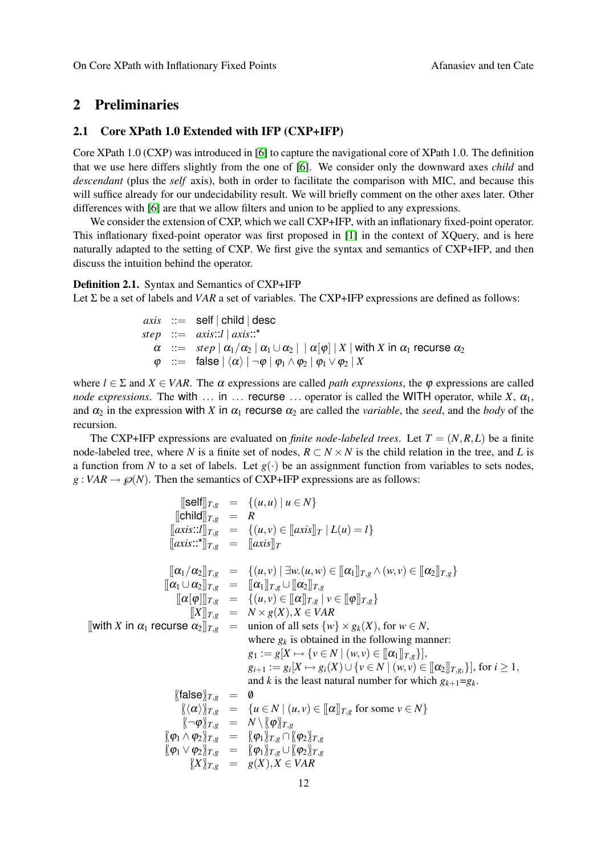### 2 Preliminaries

#### 2.1 Core XPath 1.0 Extended with IFP (CXP+IFP)

Core XPath 1.0 (CXP) was introduced in [\[6\]](#page-6-0) to capture the navigational core of XPath 1.0. The definition that we use here differs slightly from the one of [\[6\]](#page-6-0). We consider only the downward axes *child* and *descendant* (plus the *self* axis), both in order to facilitate the comparison with MIC, and because this will suffice already for our undecidability result. We will briefly comment on the other axes later. Other differences with [\[6\]](#page-6-0) are that we allow filters and union to be applied to any expressions.

We consider the extension of CXP, which we call CXP+IFP, with an inflationary fixed-point operator. This inflationary fixed-point operator was first proposed in [\[1\]](#page-6-1) in the context of XQuery, and is here naturally adapted to the setting of CXP. We first give the syntax and semantics of CXP+IFP, and then discuss the intuition behind the operator.

Definition 2.1. Syntax and Semantics of CXP+IFP Let Σ be a set of labels and *VAR* a set of variables. The CXP+IFP expressions are defined as follows:

*axis* ::= self | child | desc  
\n*step* ::= *axis*::
$$
l
$$
 *axis*:: $*$   
\n $\alpha$  ::= *step* |  $\alpha_1/\alpha_2$  |  $\alpha_1 \cup \alpha_2$  | |  $\alpha[\varphi]$  | X | with X in  $\alpha_1$  recursive  $\alpha_2$   
\n $\varphi$  ::= false |  $\langle \alpha \rangle$  |  $\neg \varphi$  |  $\varphi_1 \wedge \varphi_2$  |  $\varphi_1 \vee \varphi_2$  | X

where  $l \in \Sigma$  and  $X \in VAR$ . The  $\alpha$  expressions are called *path expressions*, the  $\varphi$  expressions are called *node expressions*. The with ... in ... recurse ... operator is called the WITH operator, while *X*,  $\alpha_1$ , and  $\alpha_2$  in the expression with *X* in  $\alpha_1$  recurse  $\alpha_2$  are called the *variable*, the *seed*, and the *body* of the recursion.

The CXP+IFP expressions are evaluated on *finite node-labeled trees*. Let  $T = (N, R, L)$  be a finite node-labeled tree, where *N* is a finite set of nodes,  $R \subset N \times N$  is the child relation in the tree, and *L* is a function from *N* to a set of labels. Let  $g(\cdot)$  be an assignment function from variables to sets nodes,  $g: VAR \rightarrow \mathcal{P}(N)$ . Then the semantics of CXP+IFP expressions are as follows:

$$
\begin{aligned}\n\left[\text{Self}\right]_{T,g} &= \{ (u, u) \mid u \in N \} \\
\left[\text{child}\right]_{T,g} &= R \\
\left[\text{axis}::t\right]_{T,g} &= \{ (u, v) \in \left[\text{axis}\right]_{T} \mid L(u) = l \} \\
\left[\text{axis}::t\right]_{T,g} &= \left[\text{axis}\right]_{T}\n\end{aligned}
$$
\n
$$
\left[\left[\alpha_{1} \cup \alpha_{2}\right]_{T,g} &= \{ (u, v) \mid \exists w.(u, w) \in \left[\alpha_{1}\right]_{T,g} \land (w, v) \in \left[\alpha_{2}\right]_{T,g} \} \\
\left[\left[\alpha_{1} \cup \alpha_{2}\right]_{T,g} &= \left[\alpha_{1}\right]_{T,g} \cup \left[\left[\alpha_{2}\right]_{T,g}\right]_{T,g} \\
\left[\left[\alpha[\varphi]\right]\right]_{T,g} &= \{ (u, v) \in \left[\alpha\right]_{T,g} \mid v \in \left[\varphi\right]_{T,g} \} \\
\left[\text{with } X \text{ in } \alpha_{1} \text{ receives } \alpha_{2}\right]_{T,g} &= \text{union of all sets } \{w\} \times g_{k}(X), \text{ for } w \in N, \text{ where } g_{k} \text{ is obtained in the following manner:} \\
\begin{aligned}\ng_1 := g[X \mapsto \{v \in N \mid (w, v) \in \left[\alpha_{1}\right]_{T,g}\}\n\end{aligned}, \\
\text{[false]}_{T,g} &= 0 \\
\left[\langle \alpha \rangle\right]_{T,g} &= 0 \\
\left[\langle \alpha \rangle\right]_{T,g} &= \{ u \in N \mid (u, v) \in \left[\alpha\right]_{T,g} \text{ for some } v \in N \} \\
\left[\text{false}\right]_{T,g} &= \{ u \in N \mid (u, v) \in \left[\alpha\right]_{T,g} \text{ for some } v \in N \} \\
\left[\sqrt{\alpha_{1} \wedge \varphi_{2}\right]_{T,g}} &= \{ \varphi \mid \forall x, \sqrt{\varphi_{2}\right}_{T,g} \\
\left[\varphi_{1} \wedge \varphi_{2}\right]_{T,g} &= \left[\varphi_{1}\right]_{T,g} \cup \left[\varphi_{2}\right]_{T,g} \\
\left[\chi_{K,g} &= g(X), X \in \text{VAR}\n\end{aligned}\right]
$$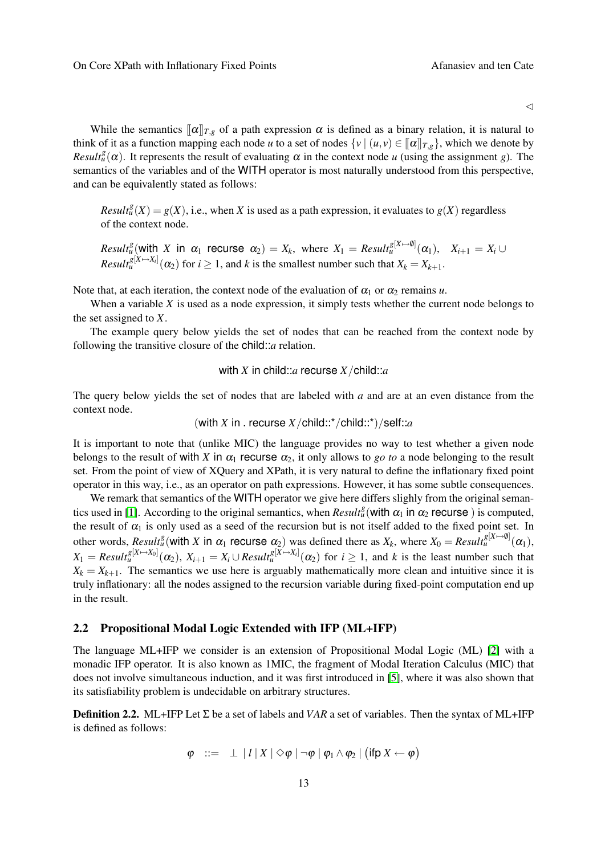$\triangleleft$ 

While the semantics  $\|\alpha\|_{T,g}$  of a path expression  $\alpha$  is defined as a binary relation, it is natural to think of it as a function mapping each node *u* to a set of nodes  $\{v \mid (u, v) \in [[\alpha]]_{T,g}\}$ , which we denote by *Result*<sub>u</sub><sup>*g*</sup>( $\alpha$ ). It represents the result of evaluating  $\alpha$  in the context node *u* (using the assignment *g*). The semantics of the variables and of the WITH operator is most naturally understood from this perspective, and can be equivalently stated as follows:

*Result*<sup>*g*</sup></sup>(*X*) = *g*(*X*), i.e., when *X* is used as a path expression, it evaluates to *g*(*X*) regardless of the context node.

 $Result_{u}^{g}$ (with *X* in  $\alpha_1$  recurse  $\alpha_2$ ) =  $X_k$ , where  $X_1 = Result_{u}^{g[X \mapsto \emptyset]}(\alpha_1)$ ,  $X_{i+1} = X_i \cup$  $Result_{u}^{g[X \to X_{i}]}(\alpha_{2})$  for  $i \geq 1$ , and *k* is the smallest number such that  $X_{k} = X_{k+1}$ .

Note that, at each iteration, the context node of the evaluation of  $\alpha_1$  or  $\alpha_2$  remains *u*.

When a variable *X* is used as a node expression, it simply tests whether the current node belongs to the set assigned to *X*.

The example query below yields the set of nodes that can be reached from the context node by following the transitive closure of the child::*a* relation.

#### with *X* in child::*a* recurse *X*/child::*a*

The query below yields the set of nodes that are labeled with *a* and are at an even distance from the context node.

(with *X* in . recurse *X*/child::\*/child::\*)/self::*a*

It is important to note that (unlike MIC) the language provides no way to test whether a given node belongs to the result of with *X* in  $\alpha_1$  recurse  $\alpha_2$ , it only allows to *go to* a node belonging to the result set. From the point of view of XQuery and XPath, it is very natural to define the inflationary fixed point operator in this way, i.e., as an operator on path expressions. However, it has some subtle consequences.

We remark that semantics of the WITH operator we give here differs slighly from the original seman-tics used in [\[1\]](#page-6-1). According to the original semantics, when  $Result_u^g$  (with  $\alpha_1$  in  $\alpha_2$  recurse) is computed, the result of  $\alpha_1$  is only used as a seed of the recursion but is not itself added to the fixed point set. In other words,  $Result_{u}^{g}(with X in \alpha_1 \text{ recursive } \alpha_2)$  was defined there as  $X_k$ , where  $X_0 = Result_{u}^{g}[X \rightarrow 0](\alpha_1)$ ,  $X_1 = Result_u^{g[X \mapsto X_0]}(\alpha_2), X_{i+1} = X_i \cup Result_u^{g[X \mapsto X_i]}(\alpha_2)$  for  $i \ge 1$ , and k is the least number such that  $X_k = X_{k+1}$ . The semantics we use here is arguably mathematically more clean and intuitive since it is truly inflationary: all the nodes assigned to the recursion variable during fixed-point computation end up in the result.

### 2.2 Propositional Modal Logic Extended with IFP (ML+IFP)

The language ML+IFP we consider is an extension of Propositional Modal Logic (ML) [\[2\]](#page-6-5) with a monadic IFP operator. It is also known as 1MIC, the fragment of Modal Iteration Calculus (MIC) that does not involve simultaneous induction, and it was first introduced in [\[5\]](#page-6-4), where it was also shown that its satisfiability problem is undecidable on arbitrary structures.

Definition 2.2. ML+IFP Let Σ be a set of labels and *VAR* a set of variables. Then the syntax of ML+IFP is defined as follows:

$$
\varphi \quad ::= \quad \bot \mid l \mid X \mid \Diamond \varphi \mid \neg \varphi \mid \varphi_1 \land \varphi_2 \mid (\text{ifp } X \leftarrow \varphi)
$$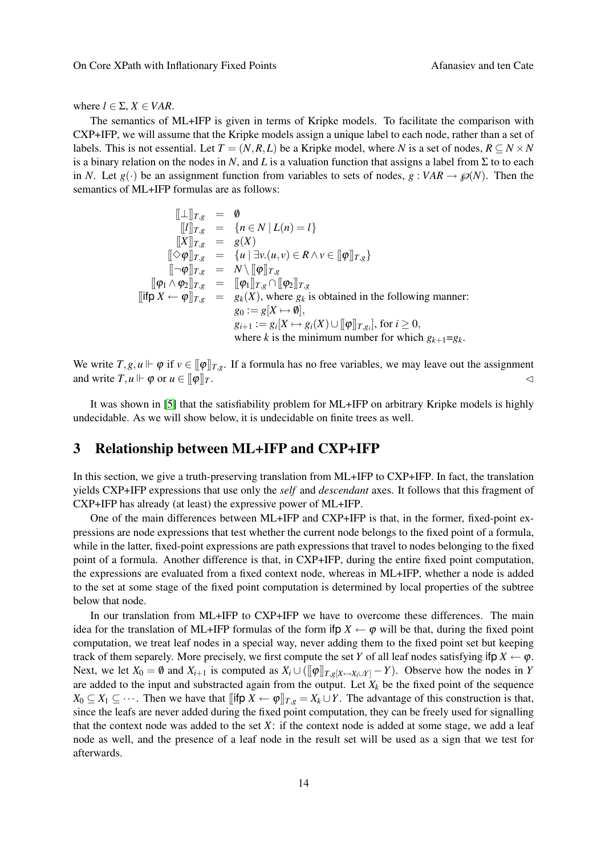where  $l \in \Sigma$ ,  $X \in VAR$ .

The semantics of ML+IFP is given in terms of Kripke models. To facilitate the comparison with CXP+IFP, we will assume that the Kripke models assign a unique label to each node, rather than a set of labels. This is not essential. Let  $T = (N, R, L)$  be a Kripke model, where *N* is a set of nodes,  $R \subseteq N \times N$ is a binary relation on the nodes in N, and L is a valuation function that assigns a label from  $\Sigma$  to to each in *N*. Let  $g(\cdot)$  be an assignment function from variables to sets of nodes,  $g: VAR \rightarrow \mathcal{O}(N)$ . Then the semantics of ML+IFP formulas are as follows:

$$
\begin{array}{rcl}\n[\![\bot]\!]_{T,g} & = & \emptyset \\
[\![l]\!]_{T,g} & = & \{n \in N \mid L(n) = l\} \\
[\![X]\!]_{T,g} & = & g(X) \\
[\![\diamond \varphi]\!]_{T,g} & = & \{u \mid \exists v.(u,v) \in R \land v \in [\![\varphi]\!]_{T,g}\} \\
[\![\neg \varphi]\!]_{T,g} & = & N \setminus [\![\varphi]\!]_{T,g} \\
[\![\varphi_1 \land \varphi_2]\!]_{T,g} & = & [\![\varphi_1]\!]_{T,g} \cap [\![\varphi_2]\!]_{T,g} \\
[\![\text{ifp } X \leftarrow \varphi]\!]_{T,g} & = & g_k(X), \text{ where } g_k \text{ is obtained in the following manner:} \\
& g_0 := g[X \mapsto \varphi], \\
& g_{i+1} := g_i[X \mapsto g_i(X) \cup [\![\varphi]\!]_{T,g_i}], \text{ for } i \geq 0, \\
& \text{where } k \text{ is the minimum number for which } g_{k+1} = g_k.\n\end{array}
$$

We write  $T, g, u \Vdash \varphi$  if  $v \in [\varphi]_{T,g}$ . If a formula has no free variables, we may leave out the assignment and write  $T, u \Vdash \varphi$  or  $u \in [\varphi]_T$ .

It was shown in [\[5\]](#page-6-4) that the satisfiability problem for ML+IFP on arbitrary Kripke models is highly undecidable. As we will show below, it is undecidable on finite trees as well.

#### 3 Relationship between ML+IFP and CXP+IFP

In this section, we give a truth-preserving translation from ML+IFP to CXP+IFP. In fact, the translation yields CXP+IFP expressions that use only the *self* and *descendant* axes. It follows that this fragment of CXP+IFP has already (at least) the expressive power of ML+IFP.

One of the main differences between ML+IFP and CXP+IFP is that, in the former, fixed-point expressions are node expressions that test whether the current node belongs to the fixed point of a formula, while in the latter, fixed-point expressions are path expressions that travel to nodes belonging to the fixed point of a formula. Another difference is that, in CXP+IFP, during the entire fixed point computation, the expressions are evaluated from a fixed context node, whereas in ML+IFP, whether a node is added to the set at some stage of the fixed point computation is determined by local properties of the subtree below that node.

In our translation from ML+IFP to CXP+IFP we have to overcome these differences. The main idea for the translation of ML+IFP formulas of the form if  $X \leftarrow \varphi$  will be that, during the fixed point computation, we treat leaf nodes in a special way, never adding them to the fixed point set but keeping track of them separely. More precisely, we first compute the set *Y* of all leaf nodes satisfying if  $\mathbf{p} \times \leftarrow \varphi$ . Next, we let  $X_0 = \emptyset$  and  $X_{i+1}$  is computed as  $X_i \cup (\llbracket \phi \rrbracket_{T, g[X \mapsto X_i \cup Y]} - Y)$ . Observe how the nodes in *Y* are added to the input and substracted again from the output. Let  $X_k$  be the fixed point of the sequence *X*<sup>0</sup> ⊆ *X*<sub>1</sub> ⊆ ···. Then we have that [[ifp *X* ←  $\varphi$ ]<sub>*T*,*g*</sub> = *X<sub>k</sub>* ∪ *Y*. The advantage of this construction is that, since the leafs are never added during the fixed point computation, they can be freely used for signalling that the context node was added to the set  $X$ : if the context node is added at some stage, we add a leaf node as well, and the presence of a leaf node in the result set will be used as a sign that we test for afterwards.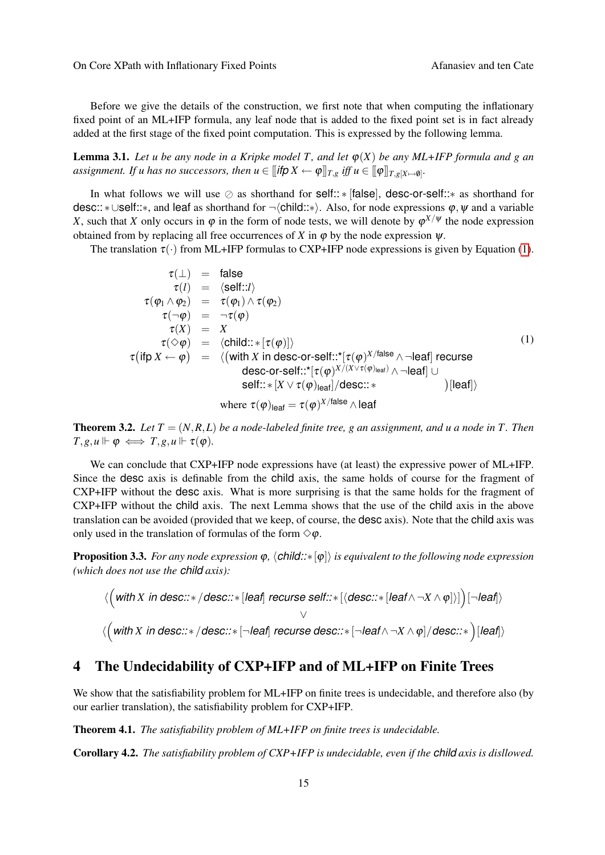Before we give the details of the construction, we first note that when computing the inflationary fixed point of an ML+IFP formula, any leaf node that is added to the fixed point set is in fact already added at the first stage of the fixed point computation. This is expressed by the following lemma.

**Lemma 3.1.** Let u be any node in a Kripke model T, and let  $\varphi(X)$  be any ML+IFP formula and g an assignment. If  $u$  has no successors, then  $u \in [\![$  *if* $pX \leftarrow \varphi]\!]_{T,g}$  *iff*  $u \in [\![\varphi]\!]_{T,g[X \mapsto \varnothing]}.$ 

In what follows we will use ⊘ as shorthand for self:: \* [false], desc-or-self:: \* as shorthand for desc:: ∗∪self::∗, and leaf as shorthand for  $\neg$  (child::∗). Also, for node expressions  $\varphi, \psi$  and a variable *X*, such that *X* only occurs in  $\varphi$  in the form of node tests, we will denote by  $\varphi^{X/\psi}$  the node expression obtained from by replacing all free occurrences of *X* in  $\varphi$  by the node expression  $\psi$ .

<span id="page-4-0"></span>The translation  $\tau(\cdot)$  from ML+IFP formulas to CXP+IFP node expressions is given by Equation [\(1\)](#page-4-0).

$$
\tau(\bot) = false
$$
\n
$$
\tau(l) = \langle \text{self}::l \rangle
$$
\n
$$
\tau(\varphi_1 \wedge \varphi_2) = \tau(\varphi_1) \wedge \tau(\varphi_2)
$$
\n
$$
\tau(\neg \varphi) = \neg \tau(\varphi)
$$
\n
$$
\tau(X) = X
$$
\n
$$
\tau(\Diamond \varphi) = \langle \text{child}::*[\tau(\varphi)] \rangle
$$
\n
$$
\tau(\text{ifp } X \leftarrow \varphi) = \langle (\text{with } X \text{ in desc-or-self}::*[\tau(\varphi)^{X/\text{false}} \wedge \neg \text{leaf}] \text{ recursive}
$$
\n
$$
\text{desc-or-self}::*[\tau(\varphi)^{X/(X \vee \tau(\varphi)_{\text{leaf}})} \wedge \neg \text{leaf}] \cup \text{self}:* [X \vee \tau(\varphi)_{\text{leaf}}] / \text{desc}:* \qquad \text{)[leaf]} \rangle
$$
\n
$$
\text{where } \tau(\varphi)_{\text{leaf}} = \tau(\varphi)^{X/\text{false}} \wedge \text{leaf}
$$
\n(1)

**Theorem 3.2.** Let  $T = (N, R, L)$  be a node-labeled finite tree, g an assignment, and u a node in T. Then  $T, g, u \Vdash \varphi \iff T, g, u \Vdash \tau(\varphi)$ .

We can conclude that CXP+IFP node expressions have (at least) the expressive power of ML+IFP. Since the desc axis is definable from the child axis, the same holds of course for the fragment of CXP+IFP without the desc axis. What is more surprising is that the same holds for the fragment of CXP+IFP without the child axis. The next Lemma shows that the use of the child axis in the above translation can be avoided (provided that we keep, of course, the desc axis). Note that the child axis was only used in the translation of formulas of the form  $\diamondsuit \varphi$ .

**Proposition 3.3.** *For any node expression*  $\varphi$ ,  $\langle$ *child::*∗[ $\varphi$ ]*is equivalent to the following node expression (which does not use the child axis):*

 $\langle \left(\textit{with } X \textit{ in } \textit{desc:}:*/\textit{desc:}:*\textit{[leaf} \textit{ receives } \textit{self::}*\textit{[}\langle \textit{desc::}* \textit{[leaf} \wedge \neg X \wedge \varphi \textbf{]}\rangle \textbf{]} \right) [\neg \textit{leaf}] \rangle$ ∨ h *with X in desc::* ∗ /*desc::* ∗ [¬*leaf*] *recurse desc::* ∗ [¬*leaf*∧ ¬*X* ∧ϕ]/*desc::* ∗ [*leaf*]i

# 4 The Undecidability of CXP+IFP and of ML+IFP on Finite Trees

We show that the satisfiability problem for ML+IFP on finite trees is undecidable, and therefore also (by our earlier translation), the satisfiability problem for CXP+IFP.

Theorem 4.1. *The satisfiability problem of ML+IFP on finite trees is undecidable.*

Corollary 4.2. *The satisfiability problem of CXP+IFP is undecidable, even if the child axis is disllowed.*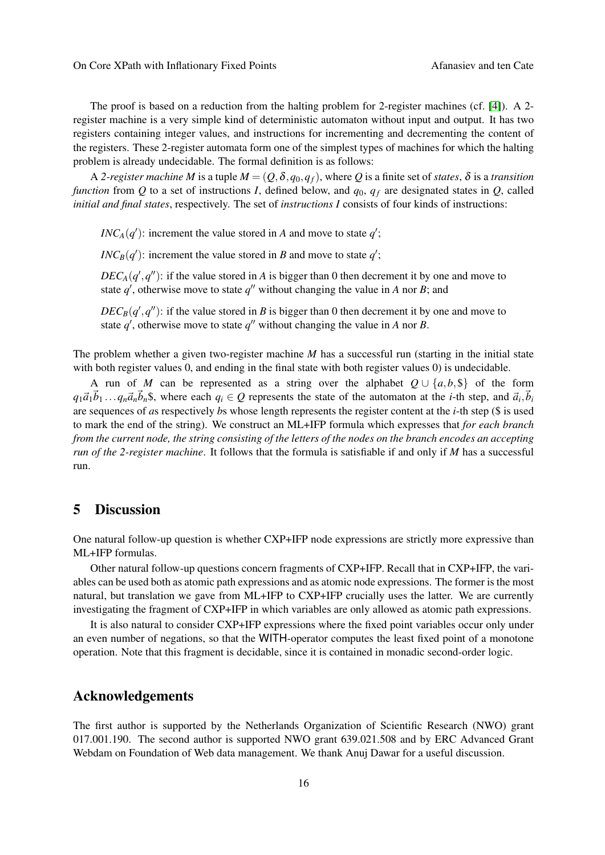The proof is based on a reduction from the halting problem for 2-register machines (cf. [\[4\]](#page-6-3)). A 2 register machine is a very simple kind of deterministic automaton without input and output. It has two registers containing integer values, and instructions for incrementing and decrementing the content of the registers. These 2-register automata form one of the simplest types of machines for which the halting problem is already undecidable. The formal definition is as follows:

A 2-register machine M is a tuple  $M = (Q, \delta, q_0, q_f)$ , where Q is a finite set of *states*,  $\delta$  is a *transition function* from *Q* to a set of instructions *I*, defined below, and *q*0, *q<sup>f</sup>* are designated states in *Q*, called *initial and final states*, respectively. The set of *instructions I* consists of four kinds of instructions:

*INC<sub>A</sub>*(*q*<sup> $\prime$ </sup>): increment the value stored in *A* and move to state *q*<sup> $\prime$ </sup>;

*INC<sub>B</sub>*(*q*<sup> $\prime$ </sup>): increment the value stored in *B* and move to state *q*<sup> $\prime$ </sup>;

 $DEC_A(q',q'')$ : if the value stored in *A* is bigger than 0 then decrement it by one and move to state  $q'$ , otherwise move to state  $q''$  without changing the value in *A* nor *B*; and

 $DEC_B(q', q'')$ : if the value stored in *B* is bigger than 0 then decrement it by one and move to state  $q'$ , otherwise move to state  $q''$  without changing the value in *A* nor *B*.

The problem whether a given two-register machine *M* has a successful run (starting in the initial state with both register values 0, and ending in the final state with both register values 0) is undecidable.

A run of *M* can be represented as a string over the alphabet  $Q \cup \{a, b, \$\}$  of the form  $q_1\vec{a}_1\vec{b}_1...q_n\vec{a}_n\vec{b}_n$ \$, where each  $q_i \in Q$  represents the state of the automaton at the *i*-th step, and  $\vec{a}_i, \vec{b}_i$ are sequences of *a*s respectively *b*s whose length represents the register content at the *i*-th step (\$ is used to mark the end of the string). We construct an ML+IFP formula which expresses that *for each branch from the current node, the string consisting of the letters of the nodes on the branch encodes an accepting run of the 2-register machine*. It follows that the formula is satisfiable if and only if *M* has a successful run.

### 5 Discussion

One natural follow-up question is whether CXP+IFP node expressions are strictly more expressive than ML+IFP formulas.

Other natural follow-up questions concern fragments of CXP+IFP. Recall that in CXP+IFP, the variables can be used both as atomic path expressions and as atomic node expressions. The former is the most natural, but translation we gave from ML+IFP to CXP+IFP crucially uses the latter. We are currently investigating the fragment of CXP+IFP in which variables are only allowed as atomic path expressions.

It is also natural to consider CXP+IFP expressions where the fixed point variables occur only under an even number of negations, so that the WITH-operator computes the least fixed point of a monotone operation. Note that this fragment is decidable, since it is contained in monadic second-order logic.

## Acknowledgements

The first author is supported by the Netherlands Organization of Scientific Research (NWO) grant 017.001.190. The second author is supported NWO grant 639.021.508 and by ERC Advanced Grant Webdam on Foundation of Web data management. We thank Anuj Dawar for a useful discussion.